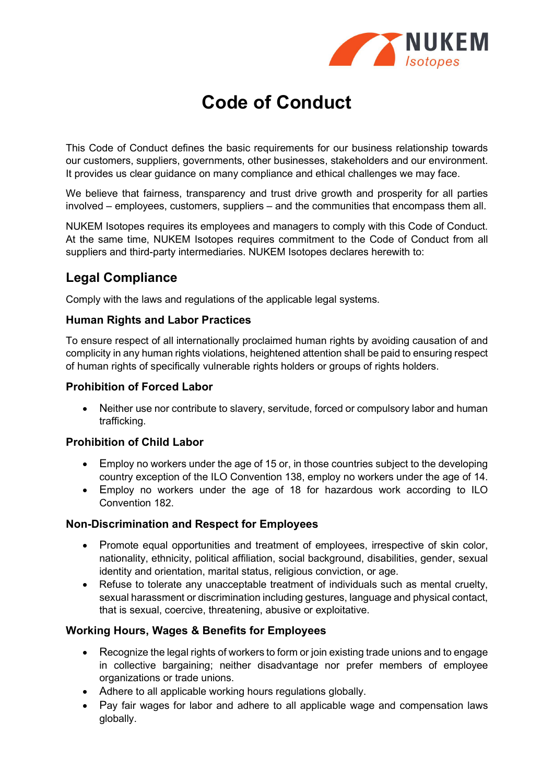

# Code of Conduct

This Code of Conduct defines the basic requirements for our business relationship towards our customers, suppliers, governments, other businesses, stakeholders and our environment. It provides us clear guidance on many compliance and ethical challenges we may face.

We believe that fairness, transparency and trust drive growth and prosperity for all parties involved – employees, customers, suppliers – and the communities that encompass them all.

NUKEM Isotopes requires its employees and managers to comply with this Code of Conduct. At the same time, NUKEM Isotopes requires commitment to the Code of Conduct from all suppliers and third-party intermediaries. NUKEM Isotopes declares herewith to:

### Legal Compliance

Comply with the laws and regulations of the applicable legal systems.

### Human Rights and Labor Practices

To ensure respect of all internationally proclaimed human rights by avoiding causation of and complicity in any human rights violations, heightened attention shall be paid to ensuring respect of human rights of specifically vulnerable rights holders or groups of rights holders.

### Prohibition of Forced Labor

• Neither use nor contribute to slavery, servitude, forced or compulsory labor and human trafficking.

### Prohibition of Child Labor

- Employ no workers under the age of 15 or, in those countries subject to the developing country exception of the ILO Convention 138, employ no workers under the age of 14.
- Employ no workers under the age of 18 for hazardous work according to ILO Convention 182.

### Non-Discrimination and Respect for Employees

- Promote equal opportunities and treatment of employees, irrespective of skin color, nationality, ethnicity, political affiliation, social background, disabilities, gender, sexual identity and orientation, marital status, religious conviction, or age.
- Refuse to tolerate any unacceptable treatment of individuals such as mental cruelty, sexual harassment or discrimination including gestures, language and physical contact, that is sexual, coercive, threatening, abusive or exploitative.

### Working Hours, Wages & Benefits for Employees

- Recognize the legal rights of workers to form or join existing trade unions and to engage in collective bargaining; neither disadvantage nor prefer members of employee organizations or trade unions.
- Adhere to all applicable working hours regulations globally.
- Pay fair wages for labor and adhere to all applicable wage and compensation laws globally.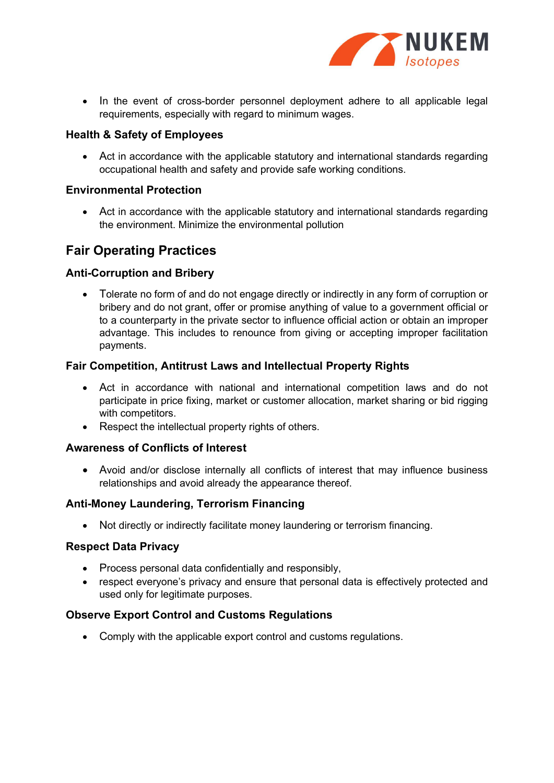

• In the event of cross-border personnel deployment adhere to all applicable legal requirements, especially with regard to minimum wages.

### Health & Safety of Employees

 Act in accordance with the applicable statutory and international standards regarding occupational health and safety and provide safe working conditions.

### Environmental Protection

 Act in accordance with the applicable statutory and international standards regarding the environment. Minimize the environmental pollution

### Fair Operating Practices

### Anti-Corruption and Bribery

• Tolerate no form of and do not engage directly or indirectly in any form of corruption or bribery and do not grant, offer or promise anything of value to a government official or to a counterparty in the private sector to influence official action or obtain an improper advantage. This includes to renounce from giving or accepting improper facilitation payments.

#### Fair Competition, Antitrust Laws and Intellectual Property Rights

- Act in accordance with national and international competition laws and do not participate in price fixing, market or customer allocation, market sharing or bid rigging with competitors.
- Respect the intellectual property rights of others.

### Awareness of Conflicts of Interest

 Avoid and/or disclose internally all conflicts of interest that may influence business relationships and avoid already the appearance thereof.

#### Anti-Money Laundering, Terrorism Financing

Not directly or indirectly facilitate money laundering or terrorism financing.

### Respect Data Privacy

- Process personal data confidentially and responsibly,
- respect everyone's privacy and ensure that personal data is effectively protected and used only for legitimate purposes.

### Observe Export Control and Customs Regulations

• Comply with the applicable export control and customs regulations.